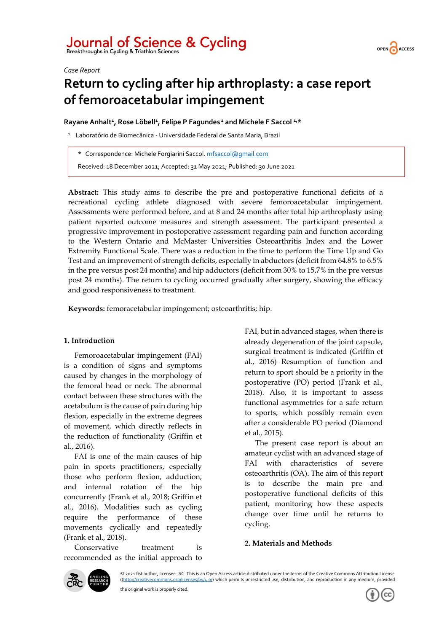# Journal of Science & Cycling<br>Breakthroughs in Cycling & Triathlon Sciences

*Case Report*

# **Return to cycling after hip arthroplasty: a case report of femoroacetabular impingement**

**Rayane Anhalt<sup>1</sup> , Rose Löbell<sup>1</sup> , Felipe P Fagundes <sup>1</sup> and Michele F Saccol 1,\***

<sup>1</sup> Laboratório de Biomecânica - Universidade Federal de Santa Maria, Brazil

**\*** Correspondence: Michele Forgiarini Saccol[. mfsaccol@gmail.com](mailto:mfsaccol@gmail.com)

Received: 18 December 2021; Accepted: 31 May 2021; Published: 30 June 2021

**Abstract:** This study aims to describe the pre and postoperative functional deficits of a recreational cycling athlete diagnosed with severe femoroacetabular impingement. Assessments were performed before, and at 8 and 24 months after total hip arthroplasty using patient reported outcome measures and strength assessment. The participant presented a progressive improvement in postoperative assessment regarding pain and function according to the Western Ontario and McMaster Universities Osteoarthritis Index and the Lower Extremity Functional Scale. There was a reduction in the time to perform the Time Up and Go Test and an improvement of strength deficits, especially in abductors (deficit from 64.8% to 6.5% in the pre versus post 24 months) and hip adductors (deficit from 30% to 15,7% in the pre versus post 24 months). The return to cycling occurred gradually after surgery, showing the efficacy and good responsiveness to treatment.

**Keywords:** femoracetabular impingement; osteoarthritis; hip.

# **1. Introduction**

Femoroacetabular impingement (FAI) is a condition of signs and symptoms caused by changes in the morphology of the femoral head or neck. The abnormal contact between these structures with the acetabulum is the cause of pain during hip flexion, especially in the extreme degrees of movement, which directly reflects in the reduction of functionality (Griffin et al., 2016).

FAI is one of the main causes of hip pain in sports practitioners, especially those who perform flexion, adduction, and internal rotation of the hip concurrently (Frank et al., 2018; Griffin et al., 2016). Modalities such as cycling require the performance of these movements cyclically and repeatedly (Frank et al., 2018).

Conservative treatment is recommended as the initial approach to FAI, but in advanced stages, when there is already degeneration of the joint capsule, surgical treatment is indicated (Griffin et al., 2016). Resumption of function and return to sport should be a priority in the postoperative (PO) period (Frank et al., 2018). Also, it is important to assess functional asymmetries for a safe return to sports, which possibly remain even after a considerable PO period (Diamond et al., 2015).

The present case report is about an amateur cyclist with an advanced stage of FAI with characteristics of severe osteoarthritis (OA). The aim of this report is to describe the main pre and postoperative functional deficits of this patient, monitoring how these aspects change over time until he returns to cycling.

# **2. Materials and Methods**



© 2021 fist author, licensee JSC. This is an Open Access article distributed under the terms of the Creative Commons Attribution License [\(\(http://creativecommons.org/licenses/by/4.0/\)](http://creativecommons.org/licenses/by/4.0/) which permits unrestricted use, distribution, and reproduction in any medium, provided



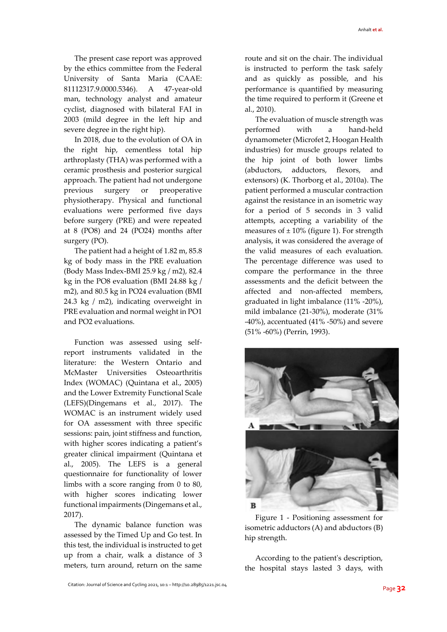The present case report was approved by the ethics committee from the Federal University of Santa Maria (CAAE: 81112317.9.0000.5346). A 47-year-old man, technology analyst and amateur cyclist, diagnosed with bilateral FAI in 2003 (mild degree in the left hip and severe degree in the right hip).

In 2018, due to the evolution of OA in the right hip, cementless total hip arthroplasty (THA) was performed with a ceramic prosthesis and posterior surgical approach. The patient had not undergone previous surgery or preoperative physiotherapy. Physical and functional evaluations were performed five days before surgery (PRE) and were repeated at 8 (PO8) and 24 (PO24) months after surgery (PO).

The patient had a height of 1.82 m, 85.8 kg of body mass in the PRE evaluation (Body Mass Index-BMI 25.9 kg / m2), 82.4 kg in the PO8 evaluation (BMI 24.88 kg / m2), and 80.5 kg in PO24 evaluation (BMI 24.3 kg / m2), indicating overweight in PRE evaluation and normal weight in PO1 and PO2 evaluations.

Function was assessed using selfreport instruments validated in the literature: the Western Ontario and McMaster Universities Osteoarthritis Index (WOMAC) (Quintana et al., 2005) and the Lower Extremity Functional Scale (LEFS)(Dingemans et al., 2017). The WOMAC is an instrument widely used for OA assessment with three specific sessions: pain, joint stiffness and function, with higher scores indicating a patient's greater clinical impairment (Quintana et al., 2005). The LEFS is a general questionnaire for functionality of lower limbs with a score ranging from 0 to 80, with higher scores indicating lower functional impairments (Dingemans et al., 2017).

The dynamic balance function was assessed by the Timed Up and Go test. In this test, the individual is instructed to get up from a chair, walk a distance of 3 meters, turn around, return on the same route and sit on the chair. The individual is instructed to perform the task safely and as quickly as possible, and his performance is quantified by measuring the time required to perform it (Greene et al., 2010).

The evaluation of muscle strength was performed with a hand-held dynamometer (Microfet 2, Hoogan Health industries) for muscle groups related to the hip joint of both lower limbs (abductors, adductors, flexors, and extensors) (K. Thorborg et al., 2010a). The patient performed a muscular contraction against the resistance in an isometric way for a period of 5 seconds in 3 valid attempts, accepting a variability of the measures of  $\pm 10\%$  (figure 1). For strength analysis, it was considered the average of the valid measures of each evaluation. The percentage difference was used to compare the performance in the three assessments and the deficit between the affected and non-affected members, graduated in light imbalance (11% -20%), mild imbalance (21-30%), moderate (31% -40%), accentuated (41% -50%) and severe (51% -60%) (Perrin, 1993).



Figure 1 - Positioning assessment for isometric adductors (A) and abductors (B) hip strength.

According to the patient's description, the hospital stays lasted 3 days, with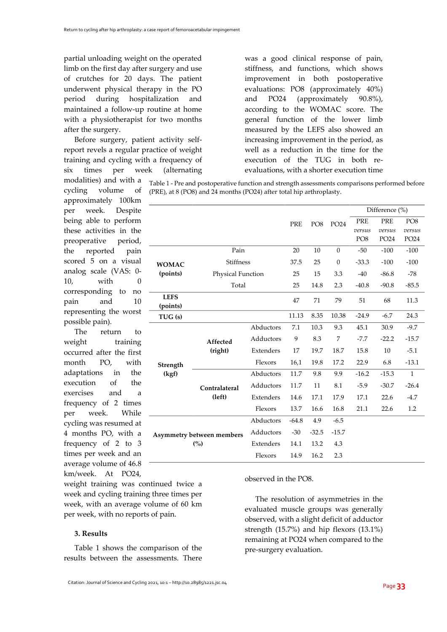partial unloading weight on the operated limb on the first day after surgery and use of crutches for 20 days. The patient underwent physical therapy in the PO period during hospitalization and maintained a follow-up routine at home with a physiotherapist for two months after the surgery.

Before surgery, patient activity selfreport revels a regular practice of weight training and cycling with a frequency of six times per week (alternating

modalities) and with a cycling volume of approximately 100km per week. Despite being able to perform these activities in the preoperative period, the reported pain scored 5 on a visual analog scale (VAS: 0- 10, with 0 corresponding to no pain and 10 representing the worst possible pain).

The return to weight training occurred after the first month PO, with adaptations in the execution of the exercises and a frequency of 2 times per week. While cycling was resumed at 4 months PO, with a frequency of 2 to 3 times per week and an average volume of 46.8 km/week. At PO24,

weight training was continued twice a week and cycling training three times per week, with an average volume of 60 km per week, with no reports of pain.

#### **3. Results**

Table 1 shows the comparison of the results between the assessments. There

was a good clinical response of pain, stiffness, and functions, which shows improvement in both postoperative evaluations: PO8 (approximately 40%) and PO24 (approximately 90.8%), according to the WOMAC score. The general function of the lower limb measured by the LEFS also showed an increasing improvement in the period, as well as a reduction in the time for the execution of the TUG in both reevaluations, with a shorter execution time

Table 1 - Pre and postoperative function and strength assessments comparisons performed before (PRE), at 8 (PO8) and 24 months (PO24) after total hip arthroplasty.

|                                         |                         |           |            |                 |                | Difference (%)                   |                                          |                                               |
|-----------------------------------------|-------------------------|-----------|------------|-----------------|----------------|----------------------------------|------------------------------------------|-----------------------------------------------|
|                                         |                         |           | <b>PRE</b> | PO <sub>8</sub> | PO24           | PRE<br>versus<br>PO <sub>8</sub> | <b>PRE</b><br>versus<br>PO <sub>24</sub> | PO <sub>8</sub><br>versus<br>PO <sub>24</sub> |
| <b>WOMAC</b><br>(points)                | Pain                    |           | 20         | 10              | $\overline{0}$ | $-50$                            | $-100$                                   | $-100$                                        |
|                                         | <b>Stiffness</b>        |           | 37.5       | 25              | $\theta$       | $-33.3$                          | $-100$                                   | $-100$                                        |
|                                         | Physical Function       |           | 25         | 15              | 3.3            | $-40$                            | $-86.8$                                  | $-78$                                         |
|                                         | Total                   |           | 25         | 14.8            | 2.3            | $-40.8$                          | $-90.8$                                  | $-85.5$                                       |
| <b>LEFS</b><br>(points)                 |                         |           | 47         | 71              | 79             | 51                               | 68                                       | 11.3                                          |
| TUG (s)                                 |                         |           | 11.13      | 8.35            | 10.38          | $-24.9$                          | $-6.7$                                   | 24.3                                          |
| Strength<br>(kgf)                       | Affected<br>(right)     | Abductors | 7.1        | 10.3            | 9.3            | 45.1                             | 30.9                                     | $-9.7$                                        |
|                                         |                         | Adductors | 9          | 8.3             | 7              | $-7.7$                           | $-22.2$                                  | $-15.7$                                       |
|                                         |                         | Extenders | 17         | 19.7            | 18.7           | 15.8                             | 10                                       | $-5.1$                                        |
|                                         |                         | Flexors   | 16,1       | 19.8            | 17.2           | 22.9                             | 6.8                                      | $-13.1$                                       |
|                                         | Contralateral<br>(left) | Abductors | 11.7       | 9.8             | 9.9            | $-16.2$                          | $-15.3$                                  | $\mathbf{1}$                                  |
|                                         |                         | Adductors | 11.7       | 11              | 8.1            | $-5.9$                           | $-30.7$                                  | $-26.4$                                       |
|                                         |                         | Extenders | 14.6       | 17.1            | 17.9           | 17.1                             | 22.6                                     | $-4.7$                                        |
|                                         |                         | Flexors   | 13.7       | 16.6            | 16.8           | 21.1                             | 22.6                                     | 1.2                                           |
|                                         |                         | Abductors | $-64.8$    | 4.9             | $-6.5$         |                                  |                                          |                                               |
| <b>Asymmetry between members</b><br>(%) |                         | Adductors | $-30$      | $-32.5$         | $-15.7$        |                                  |                                          |                                               |
|                                         |                         | Extenders | 14.1       | 13.2            | 4.3            |                                  |                                          |                                               |
|                                         |                         | Flexors   | 14.9       | 16.2            | 2.3            |                                  |                                          |                                               |

observed in the PO8.

The resolution of asymmetries in the evaluated muscle groups was generally observed, with a slight deficit of adductor strength (15.7%) and hip flexors (13.1%) remaining at PO24 when compared to the pre-surgery evaluation.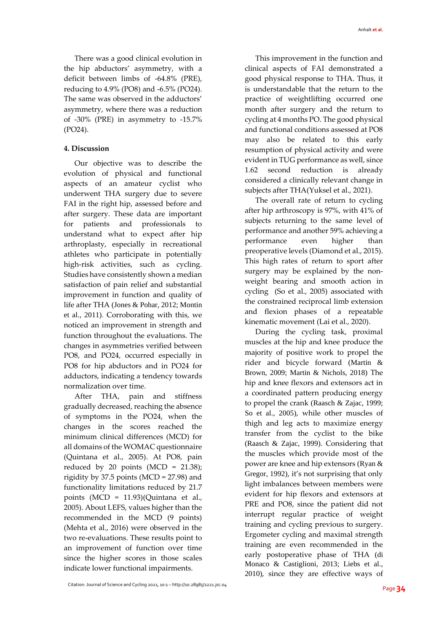There was a good clinical evolution in the hip abductors' asymmetry, with a deficit between limbs of -64.8% (PRE), reducing to 4.9% (PO8) and -6.5% (PO24). The same was observed in the adductors' asymmetry, where there was a reduction of -30% (PRE) in asymmetry to -15.7% (PO24).

#### **4. Discussion**

Our objective was to describe the evolution of physical and functional aspects of an amateur cyclist who underwent THA surgery due to severe FAI in the right hip, assessed before and after surgery. These data are important for patients and professionals to understand what to expect after hip arthroplasty, especially in recreational athletes who participate in potentially high-risk activities, such as cycling. Studies have consistently shown a median satisfaction of pain relief and substantial improvement in function and quality of life after THA (Jones & Pohar, 2012; Montin et al., 2011). Corroborating with this, we noticed an improvement in strength and function throughout the evaluations. The changes in asymmetries verified between PO8, and PO24, occurred especially in PO8 for hip abductors and in PO24 for adductors, indicating a tendency towards normalization over time.

After THA, pain and stiffness gradually decreased, reaching the absence of symptoms in the PO24, when the changes in the scores reached the minimum clinical differences (MCD) for all domains of the WOMAC questionnaire (Quintana et al., 2005). At PO8, pain reduced by 20 points (MCD =  $21.38$ ); rigidity by 37.5 points (MCD = 27.98) and functionality limitations reduced by 21.7 points (MCD = 11.93)(Quintana et al., 2005). About LEFS, values higher than the recommended in the MCD (9 points) (Mehta et al., 2016) were observed in the two re-evaluations. These results point to an improvement of function over time since the higher scores in those scales indicate lower functional impairments.

This improvement in the function and clinical aspects of FAI demonstrated a good physical response to THA. Thus, it is understandable that the return to the practice of weightlifting occurred one month after surgery and the return to cycling at 4 months PO. The good physical and functional conditions assessed at PO8 may also be related to this early resumption of physical activity and were evident in TUG performance as well, since 1.62 second reduction is already considered a clinically relevant change in subjects after THA(Yuksel et al., 2021).

The overall rate of return to cycling after hip arthroscopy is 97%, with 41% of subjects returning to the same level of performance and another 59% achieving a performance even higher than preoperative levels (Diamond et al., 2015). This high rates of return to sport after surgery may be explained by the nonweight bearing and smooth action in cycling (So et al., 2005) associated with the constrained reciprocal limb extension and flexion phases of a repeatable kinematic movement (Lai et al., 2020).

During the cycling task, proximal muscles at the hip and knee produce the majority of positive work to propel the rider and bicycle forward (Martin & Brown, 2009; Martin & Nichols, 2018) The hip and knee flexors and extensors act in a coordinated pattern producing energy to propel the crank (Raasch & Zajac, 1999; So et al., 2005), while other muscles of thigh and leg acts to maximize energy transfer from the cyclist to the bike (Raasch & Zajac, 1999). Considering that the muscles which provide most of the power are knee and hip extensors (Ryan & Gregor, 1992), it's not surprising that only light imbalances between members were evident for hip flexors and extensors at PRE and PO8, since the patient did not interrupt regular practice of weight training and cycling previous to surgery. Ergometer cycling and maximal strength training are even recommended in the early postoperative phase of THA (di Monaco & Castiglioni, 2013; Liebs et al., 2010), since they are effective ways of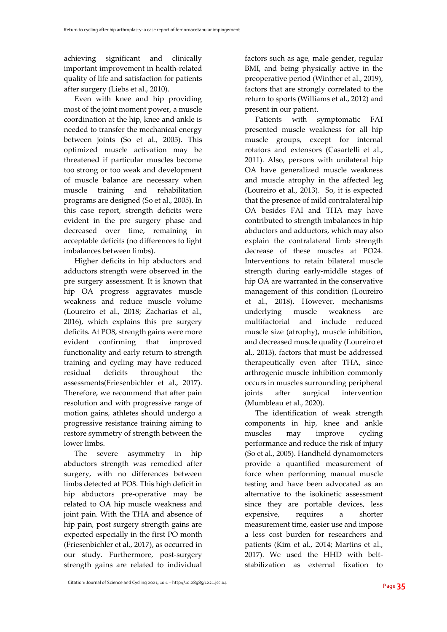achieving significant and clinically important improvement in health-related quality of life and satisfaction for patients after surgery (Liebs et al., 2010).

Even with knee and hip providing most of the joint moment power, a muscle coordination at the hip, knee and ankle is needed to transfer the mechanical energy between joints (So et al., 2005). This optimized muscle activation may be threatened if particular muscles become too strong or too weak and development of muscle balance are necessary when muscle training and rehabilitation programs are designed (So et al., 2005). In this case report, strength deficits were evident in the pre surgery phase and decreased over time, remaining in acceptable deficits (no differences to light imbalances between limbs).

Higher deficits in hip abductors and adductors strength were observed in the pre surgery assessment. It is known that hip OA progress aggravates muscle weakness and reduce muscle volume (Loureiro et al., 2018; Zacharias et al., 2016), which explains this pre surgery deficits. At PO8, strength gains were more evident confirming that improved functionality and early return to strength training and cycling may have reduced residual deficits throughout the assessments(Friesenbichler et al., 2017). Therefore, we recommend that after pain resolution and with progressive range of motion gains, athletes should undergo a progressive resistance training aiming to restore symmetry of strength between the lower limbs.

The severe asymmetry in hip abductors strength was remedied after surgery, with no differences between limbs detected at PO8. This high deficit in hip abductors pre-operative may be related to OA hip muscle weakness and joint pain. With the THA and absence of hip pain, post surgery strength gains are expected especially in the first PO month (Friesenbichler et al., 2017), as occurred in our study. Furthermore, post-surgery strength gains are related to individual factors such as age, male gender, regular BMI, and being physically active in the preoperative period (Winther et al., 2019), factors that are strongly correlated to the return to sports (Williams et al., 2012) and present in our patient.

Patients with symptomatic FAI presented muscle weakness for all hip muscle groups, except for internal rotators and extensors (Casartelli et al., 2011). Also, persons with unilateral hip OA have generalized muscle weakness and muscle atrophy in the affected leg (Loureiro et al., 2013). So, it is expected that the presence of mild contralateral hip OA besides FAI and THA may have contributed to strength imbalances in hip abductors and adductors, which may also explain the contralateral limb strength decrease of these muscles at PO24. Interventions to retain bilateral muscle strength during early-middle stages of hip OA are warranted in the conservative management of this condition (Loureiro et al., 2018). However, mechanisms underlying muscle weakness are multifactorial and include reduced muscle size (atrophy), muscle inhibition, and decreased muscle quality (Loureiro et al., 2013), factors that must be addressed therapeutically even after THA, since arthrogenic muscle inhibition commonly occurs in muscles surrounding peripheral joints after surgical intervention (Mumbleau et al., 2020).

The identification of weak strength components in hip, knee and ankle muscles may improve cycling performance and reduce the risk of injury (So et al., 2005). Handheld dynamometers provide a quantified measurement of force when performing manual muscle testing and have been advocated as an alternative to the isokinetic assessment since they are portable devices, less expensive, requires a shorter measurement time, easier use and impose a less cost burden for researchers and patients (Kim et al., 2014; Martins et al., 2017). We used the HHD with beltstabilization as external fixation to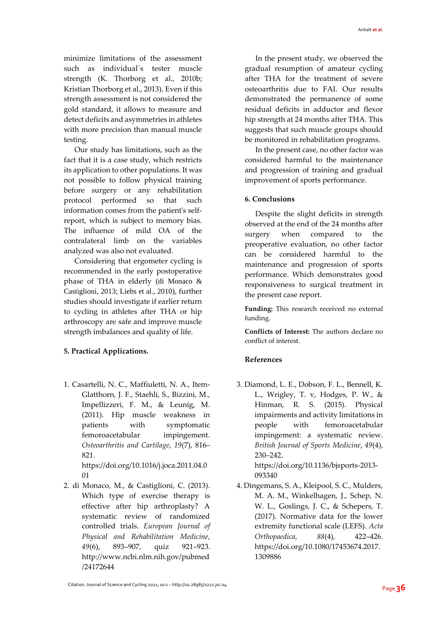minimize limitations of the assessment such as individual´s tester muscle strength (K. Thorborg et al., 2010b; Kristian Thorborg et al., 2013). Even if this strength assessment is not considered the gold standard, it allows to measure and detect deficits and asymmetries in athletes with more precision than manual muscle testing.

Our study has limitations, such as the fact that it is a case study, which restricts its application to other populations. It was not possible to follow physical training before surgery or any rehabilitation protocol performed so that such information comes from the patient's selfreport, which is subject to memory bias. The influence of mild OA of the contralateral limb on the variables analyzed was also not evaluated.

Considering that ergometer cycling is recommended in the early postoperative phase of THA in elderly (di Monaco & Castiglioni, 2013; Liebs et al., 2010), further studies should investigate if earlier return to cycling in athletes after THA or hip arthroscopy are safe and improve muscle strength imbalances and quality of life.

# **5. Practical Applications.**

1. Casartelli, N. C., Maffiuletti, N. A., Item-Glatthorn, J. F., Staehli, S., Bizzini, M., Impellizzeri, F. M., & Leunig, M. (2011). Hip muscle weakness in patients with symptomatic femoroacetabular impingement. *Osteoarthritis and Cartilage*, *19*(7), 816– 821.

https://doi.org/10.1016/j.joca.2011.04.0 01

2. di Monaco, M., & Castiglioni, C. (2013). Which type of exercise therapy is effective after hip arthroplasty? A systematic review of randomized controlled trials. *European Journal of Physical and Rehabilitation Medicine*, *49*(6), 893–907, quiz 921–923. http://www.ncbi.nlm.nih.gov/pubmed /24172644

In the present study, we observed the gradual resumption of amateur cycling after THA for the treatment of severe osteoarthritis due to FAI. Our results demonstrated the permanence of some residual deficits in adductor and flexor hip strength at 24 months after THA. This suggests that such muscle groups should be monitored in rehabilitation programs.

In the present case, no other factor was considered harmful to the maintenance and progression of training and gradual improvement of sports performance.

#### **6. Conclusions**

Despite the slight deficits in strength observed at the end of the 24 months after surgery when compared to the preoperative evaluation, no other factor can be considered harmful to the maintenance and progression of sports performance. Which demonstrates good responsiveness to surgical treatment in the present case report.

**Funding:** This research received no external funding.

**Conflicts of Interest:** The authors declare no conflict of interest.

# **References**

3. Diamond, L. E., Dobson, F. L., Bennell, K. L., Wrigley, T. v, Hodges, P. W., & Hinman, R. S. (2015). Physical impairments and activity limitations in people with femoroacetabular impingement: a systematic review. *British Journal of Sports Medicine*, *49*(4), 230–242. https://doi.org/10.1136/bjsports-2013-

093340

4. Dingemans, S. A., Kleipool, S. C., Mulders, M. A. M., Winkelhagen, J., Schep, N. W. L., Goslings, J. C., & Schepers, T. (2017). Normative data for the lower extremity functional scale (LEFS). *Acta Orthopaedica*, *88*(4), 422–426. https://doi.org/10.1080/17453674.2017. 1309886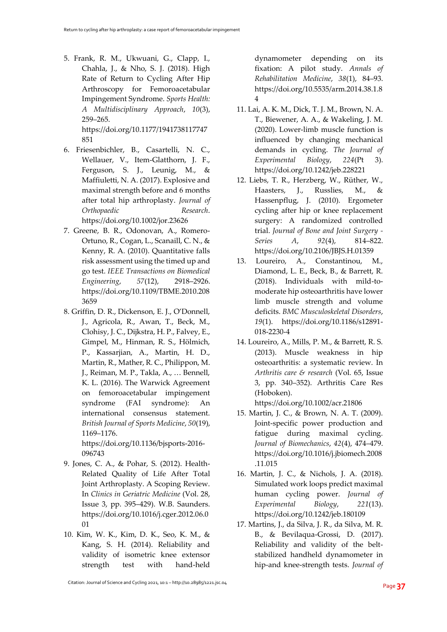5. Frank, R. M., Ukwuani, G., Clapp, I., Chahla, J., & Nho, S. J. (2018). High Rate of Return to Cycling After Hip Arthroscopy for Femoroacetabular Impingement Syndrome. *Sports Health: A Multidisciplinary Approach*, *10*(3), 259–265. https://doi.org/10.1177/1941738117747

851

6. Friesenbichler, B., Casartelli, N. C., Wellauer, V., Item-Glatthorn, J. F., Ferguson, S. J., Leunig, M., & Maffiuletti, N. A. (2017). Explosive and maximal strength before and 6 months after total hip arthroplasty. *Journal of Orthopaedic Research*. https://doi.org/10.1002/jor.23626

- 7. Greene, B. R., Odonovan, A., Romero-Ortuno, R., Cogan, L., Scanaill, C. N., & Kenny, R. A. (2010). Quantitative falls risk assessment using the timed up and go test. *IEEE Transactions on Biomedical Engineering*, *57*(12), 2918–2926. https://doi.org/10.1109/TBME.2010.208 3659
- 8. Griffin, D. R., Dickenson, E. J., O'Donnell, J., Agricola, R., Awan, T., Beck, M., Clohisy, J. C., Dijkstra, H. P., Falvey, E., Gimpel, M., Hinman, R. S., Hölmich, P., Kassarjian, A., Martin, H. D., Martin, R., Mather, R. C., Philippon, M. J., Reiman, M. P., Takla, A., … Bennell, K. L. (2016). The Warwick Agreement on femoroacetabular impingement syndrome (FAI syndrome): An international consensus statement. *British Journal of Sports Medicine*, *50*(19), 1169–1176.

https://doi.org/10.1136/bjsports-2016- 096743

- 9. Jones, C. A., & Pohar, S. (2012). Health-Related Quality of Life After Total Joint Arthroplasty. A Scoping Review. In *Clinics in Geriatric Medicine* (Vol. 28, Issue 3, pp. 395–429). W.B. Saunders. https://doi.org/10.1016/j.cger.2012.06.0 01
- 10. Kim, W. K., Kim, D. K., Seo, K. M., & Kang, S. H. (2014). Reliability and validity of isometric knee extensor strength test with hand-held

dynamometer depending on its fixation: A pilot study. *Annals of Rehabilitation Medicine*, *38*(1), 84–93. https://doi.org/10.5535/arm.2014.38.1.8 4

- 11. Lai, A. K. M., Dick, T. J. M., Brown, N. A. T., Biewener, A. A., & Wakeling, J. M. (2020). Lower-limb muscle function is influenced by changing mechanical demands in cycling. *The Journal of Experimental Biology*, *224*(Pt 3). https://doi.org/10.1242/jeb.228221
- 12. Liebs, T. R., Herzberg, W., Rüther, W., Haasters, J., Russlies, M., & Hassenpflug, J. (2010). Ergometer cycling after hip or knee replacement surgery: A randomized controlled trial. *Journal of Bone and Joint Surgery - Series A*, *92*(4), 814–822. https://doi.org/10.2106/JBJS.H.01359
- 13. Loureiro, A., Constantinou, M., Diamond, L. E., Beck, B., & Barrett, R. (2018). Individuals with mild-tomoderate hip osteoarthritis have lower limb muscle strength and volume deficits. *BMC Musculoskeletal Disorders*, *19*(1). https://doi.org/10.1186/s12891- 018-2230-4
- 14. Loureiro, A., Mills, P. M., & Barrett, R. S. (2013). Muscle weakness in hip osteoarthritis: a systematic review. In *Arthritis care & research* (Vol. 65, Issue 3, pp. 340–352). Arthritis Care Res (Hoboken).

https://doi.org/10.1002/acr.21806

- 15. Martin, J. C., & Brown, N. A. T. (2009). Joint-specific power production and fatigue during maximal cycling. *Journal of Biomechanics*, *42*(4), 474–479. https://doi.org/10.1016/j.jbiomech.2008 .11.015
- 16. Martin, J. C., & Nichols, J. A. (2018). Simulated work loops predict maximal human cycling power. *Journal of Experimental Biology*, *221*(13). https://doi.org/10.1242/jeb.180109
- 17. Martins, J., da Silva, J. R., da Silva, M. R. B., & Bevilaqua-Grossi, D. (2017). Reliability and validity of the beltstabilized handheld dynamometer in hip-and knee-strength tests. *Journal of*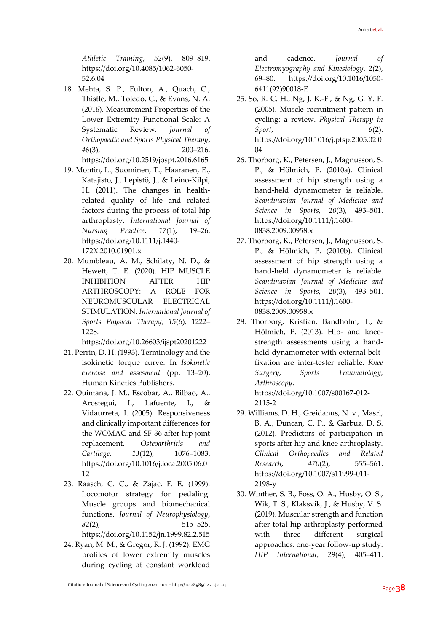*Athletic Training*, *52*(9), 809–819. https://doi.org/10.4085/1062-6050- 52.6.04

- 18. Mehta, S. P., Fulton, A., Quach, C., Thistle, M., Toledo, C., & Evans, N. A. (2016). Measurement Properties of the Lower Extremity Functional Scale: A Systematic Review. *Journal of Orthopaedic and Sports Physical Therapy*, *46*(3), 200–216. https://doi.org/10.2519/jospt.2016.6165
- 19. Montin, L., Suominen, T., Haaranen, E., Katajisto, J., Lepistö, J., & Leino-Kilpi, H. (2011). The changes in healthrelated quality of life and related factors during the process of total hip arthroplasty. *International Journal of Nursing Practice*, *17*(1), 19–26. https://doi.org/10.1111/j.1440- 172X.2010.01901.x
- 20. Mumbleau, A. M., Schilaty, N. D., & Hewett, T. E. (2020). HIP MUSCLE INHIBITION AFTER HIP ARTHROSCOPY: A ROLE FOR NEUROMUSCULAR ELECTRICAL STIMULATION. *International Journal of Sports Physical Therapy*, *15*(6), 1222– 1228.

https://doi.org/10.26603/ijspt20201222

- 21. Perrin, D. H. (1993). Terminology and the isokinetic torque curve. In *Isokinetic exercise and assesment* (pp. 13–20). Human Kinetics Publishers.
- 22. Quintana, J. M., Escobar, A., Bilbao, A., Arostegui, I., Lafuente, I., & Vidaurreta, I. (2005). Responsiveness and clinically important differences for the WOMAC and SF-36 after hip joint replacement. *Osteoarthritis and Cartilage*, *13*(12), 1076–1083. https://doi.org/10.1016/j.joca.2005.06.0 12
- 23. Raasch, C. C., & Zajac, F. E. (1999). Locomotor strategy for pedaling: Muscle groups and biomechanical functions. *Journal of Neurophysiology*, *82*(2), 515–525. https://doi.org/10.1152/jn.1999.82.2.515
- 24. Ryan, M. M., & Gregor, R. J. (1992). EMG profiles of lower extremity muscles during cycling at constant workload

and cadence. *Journal of Electromyography and Kinesiology*, *2*(2), 69–80. https://doi.org/10.1016/1050- 6411(92)90018-E

- 25. So, R. C. H., Ng, J. K.-F., & Ng, G. Y. F. (2005). Muscle recruitment pattern in cycling: a review. *Physical Therapy in Sport*, *6*(2). https://doi.org/10.1016/j.ptsp.2005.02.0 04
- 26. Thorborg, K., Petersen, J., Magnusson, S. P., & Hölmich, P. (2010a). Clinical assessment of hip strength using a hand-held dynamometer is reliable. *Scandinavian Journal of Medicine and Science in Sports*, *20*(3), 493–501. https://doi.org/10.1111/j.1600- 0838.2009.00958.x
- 27. Thorborg, K., Petersen, J., Magnusson, S. P., & Hölmich, P. (2010b). Clinical assessment of hip strength using a hand-held dynamometer is reliable. *Scandinavian Journal of Medicine and Science in Sports*, *20*(3), 493–501. https://doi.org/10.1111/j.1600- 0838.2009.00958.x
- 28. Thorborg, Kristian, Bandholm, T., & Hölmich, P. (2013). Hip- and kneestrength assessments using a handheld dynamometer with external beltfixation are inter-tester reliable. *Knee Surgery, Sports Traumatology, Arthroscopy*. https://doi.org/10.1007/s00167-012-
- 2115-2 29. Williams, D. H., Greidanus, N. v., Masri, B. A., Duncan, C. P., & Garbuz, D. S. (2012). Predictors of participation in sports after hip and knee arthroplasty. *Clinical Orthopaedics and Related Research*, *470*(2), 555–561. https://doi.org/10.1007/s11999-011- 2198-y
- 30. Winther, S. B., Foss, O. A., Husby, O. S., Wik, T. S., Klaksvik, J., & Husby, V. S. (2019). Muscular strength and function after total hip arthroplasty performed with three different surgical approaches: one-year follow-up study. *HIP International*, *29*(4), 405–411.